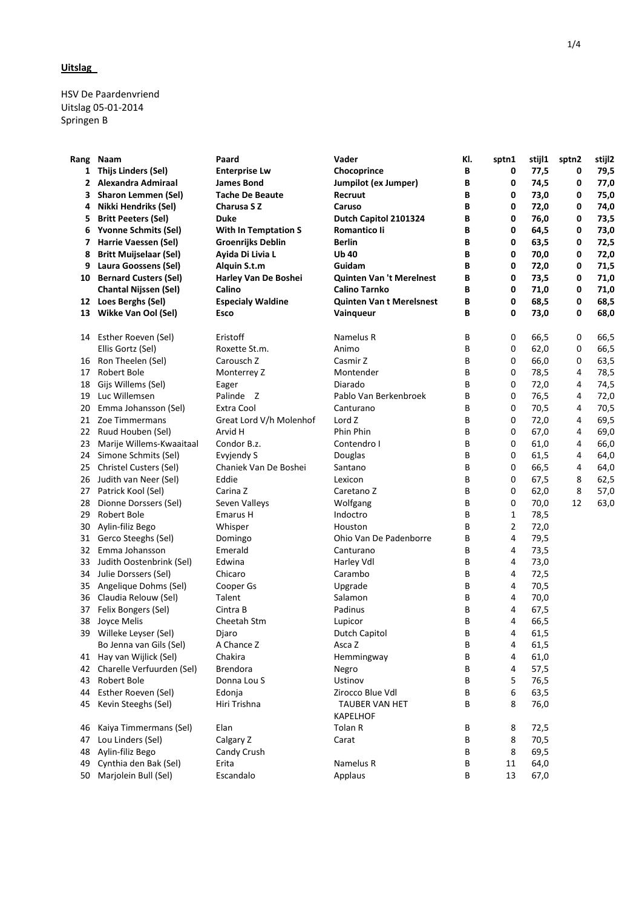HSV De Paardenvriend Uitslag 05-01-2014 Springen B

| Rang | Naam                          | Paard                       | Vader                           | KI. | sptn1        | stijl1 | sptn2 | stijl2 |
|------|-------------------------------|-----------------------------|---------------------------------|-----|--------------|--------|-------|--------|
|      | 1 Thijs Linders (Sel)         | <b>Enterprise Lw</b>        | Chocoprince                     | В   | 0            | 77,5   | 0     | 79,5   |
|      | 2 Alexandra Admiraal          | <b>James Bond</b>           | Jumpilot (ex Jumper)            | В   | 0            | 74,5   | 0     | 77,0   |
| 3    | <b>Sharon Lemmen (Sel)</b>    | <b>Tache De Beaute</b>      | Recruut                         | В   | 0            | 73,0   | 0     | 75,0   |
| 4    | <b>Nikki Hendriks (Sel)</b>   | Charusa S Z                 | Caruso                          | В   | 0            | 72,0   | 0     | 74,0   |
| 5.   | <b>Britt Peeters (Sel)</b>    | <b>Duke</b>                 | Dutch Capitol 2101324           | В   | 0            | 76,0   | 0     | 73,5   |
| 6    | <b>Yvonne Schmits (Sel)</b>   | <b>With In Temptation S</b> | Romantico li                    | В   | 0            | 64,5   | 0     | 73,0   |
| 7    | Harrie Vaessen (Sel)          | <b>Groenrijks Deblin</b>    | Berlin                          | В   | 0            | 63,5   | 0     | 72,5   |
| 8    | <b>Britt Muijselaar (Sel)</b> | Ayida Di Livia L            | <b>Ub 40</b>                    | В   | 0            | 70,0   | 0     | 72,0   |
| 9    | Laura Goossens (Sel)          | Alquin S.t.m                | Guidam                          | В   | 0            | 72,0   | 0     | 71,5   |
| 10   | <b>Bernard Custers (Sel)</b>  | Harley Van De Boshei        | <b>Quinten Van 't Merelnest</b> | В   | 0            | 73,5   | 0     | 71,0   |
|      | <b>Chantal Nijssen (Sel)</b>  | Calino                      | Calino Tarnko                   | В   | 0            | 71,0   | 0     | 71,0   |
|      | 12 Loes Berghs (Sel)          | <b>Especialy Waldine</b>    | <b>Quinten Van t Merelsnest</b> | В   | 0            | 68,5   | 0     | 68,5   |
|      | 13 Wikke Van Ool (Sel)        | Esco                        | Vainqueur                       | B   | 0            | 73,0   | 0     | 68,0   |
| 14   | Esther Roeven (Sel)           | Eristoff                    | Namelus R                       | В   | 0            | 66,5   | 0     | 66,5   |
|      | Ellis Gortz (Sel)             | Roxette St.m.               | Animo                           | В   | 0            | 62,0   | 0     | 66,5   |
| 16   | Ron Theelen (Sel)             | Carousch <sub>Z</sub>       | Casmir Z                        | В   | 0            | 66,0   | 0     | 63,5   |
| 17   | Robert Bole                   | Monterrey Z                 | Montender                       | В   | 0            | 78,5   | 4     | 78,5   |
| 18   | Gijs Willems (Sel)            | Eager                       | Diarado                         | В   | 0            | 72,0   | 4     | 74,5   |
| 19   | Luc Willemsen                 | Palinde Z                   | Pablo Van Berkenbroek           | В   | 0            | 76,5   | 4     | 72,0   |
| 20   | Emma Johansson (Sel)          | Extra Cool                  | Canturano                       | В   | 0            | 70,5   | 4     | 70,5   |
| 21   | Zoe Timmermans                | Great Lord V/h Molenhof     | Lord Z                          | В   | 0            | 72,0   | 4     | 69,5   |
| 22   | Ruud Houben (Sel)             | Arvid H                     | Phin Phin                       | В   | 0            | 67,0   | 4     | 69,0   |
| 23   | Marije Willems-Kwaaitaal      | Condor B.z.                 | Contendro I                     | В   | 0            | 61,0   | 4     | 66,0   |
| 24   | Simone Schmits (Sel)          | Evyjendy S                  | <b>Douglas</b>                  | В   | 0            | 61,5   | 4     | 64,0   |
| 25   | Christel Custers (Sel)        | Chaniek Van De Boshei       | Santano                         | В   | 0            | 66,5   | 4     | 64,0   |
|      | 26 Judith van Neer (Sel)      | Eddie                       | Lexicon                         | В   | 0            | 67,5   | 8     | 62,5   |
|      | 27 Patrick Kool (Sel)         | Carina Z                    | Caretano Z                      | В   | 0            | 62,0   | 8     | 57,0   |
| 28   | Dionne Dorssers (Sel)         | Seven Valleys               | Wolfgang                        | В   | 0            | 70,0   | 12    | 63,0   |
| 29   | Robert Bole                   | <b>Emarus H</b>             | Indoctro                        | В   | $\mathbf{1}$ | 78,5   |       |        |
| 30   | Aylin-filiz Bego              | Whisper                     | Houston                         | В   | 2            | 72,0   |       |        |
| 31   | Gerco Steeghs (Sel)           | Domingo                     | Ohio Van De Padenborre          | В   | 4            | 79,5   |       |        |
|      | 32 Emma Johansson             | Emerald                     | Canturano                       | В   | 4            | 73,5   |       |        |
| 33   | Judith Oostenbrink (Sel)      | Edwina                      | Harley Vdl                      | В   | 4            | 73,0   |       |        |
| 34   | Julie Dorssers (Sel)          | Chicaro                     | Carambo                         | В   | 4            | 72,5   |       |        |
| 35   | Angelique Dohms (Sel)         | Cooper Gs                   | Upgrade                         | В   | 4            | 70,5   |       |        |
|      | 36 Claudia Relouw (Sel)       | Talent                      | Salamon                         | В   | 4            | 70,0   |       |        |
| 37   | Felix Bongers (Sel)           | Cintra B                    | Padinus                         | В   | 4            | 67,5   |       |        |
| 38   | Joyce Melis                   | Cheetah Stm                 | Lupicor                         | В   | 4            | 66,5   |       |        |
|      | 39 Willeke Leyser (Sel)       | Djaro                       | Dutch Capitol                   | B   | 4            | 61,5   |       |        |
|      | Bo Jenna van Gils (Sel)       | A Chance Z                  | Asca Z                          | В   | 4            | 61,5   |       |        |
|      | 41 Hay van Wijlick (Sel)      | Chakira                     | Hemmingway                      | В   | 4            | 61,0   |       |        |
|      | 42 Charelle Verfuurden (Sel)  | <b>Brendora</b>             | Negro                           | В   | 4            | 57,5   |       |        |
| 43   | Robert Bole                   | Donna Lou S                 | Ustinov                         | В   | 5            | 76,5   |       |        |
| 44   | Esther Roeven (Sel)           | Edonja                      | Zirocco Blue Vdl                | В   | 6            | 63,5   |       |        |
| 45   | Kevin Steeghs (Sel)           | Hiri Trishna                | <b>TAUBER VAN HET</b>           | В   | 8            | 76,0   |       |        |
|      |                               |                             | <b>KAPELHOF</b>                 |     |              |        |       |        |
| 46   | Kaiya Timmermans (Sel)        | Elan                        | Tolan R                         | Β   | 8            | 72,5   |       |        |
| 47   | Lou Linders (Sel)             | Calgary Z                   | Carat                           | В   | 8            | 70,5   |       |        |
| 48   | Aylin-filiz Bego              | Candy Crush                 |                                 | В   | 8            | 69,5   |       |        |
| 49   | Cynthia den Bak (Sel)         | Erita                       | Namelus R                       | В   | 11           | 64,0   |       |        |
| 50   | Marjolein Bull (Sel)          | Escandalo                   | Applaus                         | В   | 13           | 67,0   |       |        |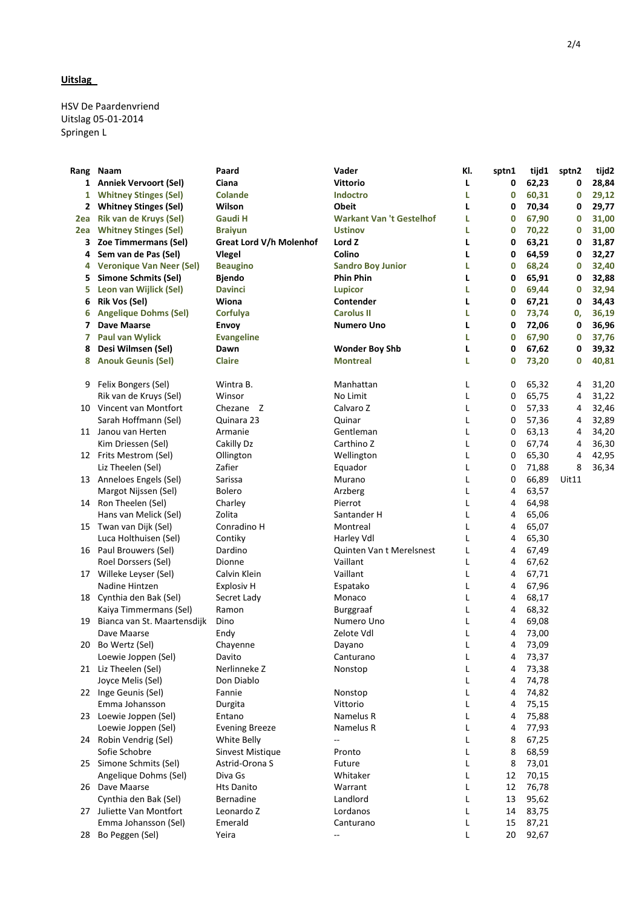HSV De Paardenvriend Uitslag 05-01-2014 Springen L

| Rang | Naam                            | Paard                   | Vader                           | KI. | sptn1 | tijd1 | sptn2 | tijd2 |
|------|---------------------------------|-------------------------|---------------------------------|-----|-------|-------|-------|-------|
| 1    | <b>Anniek Vervoort (Sel)</b>    | Ciana                   | <b>Vittorio</b>                 | L   | 0     | 62,23 | 0     | 28,84 |
| 1    | <b>Whitney Stinges (Sel)</b>    | <b>Colande</b>          | <b>Indoctro</b>                 | L   | 0     | 60,31 | 0     | 29,12 |
|      | 2 Whitney Stinges (Sel)         | Wilson                  | <b>Obeit</b>                    | L   | 0     | 70,34 | 0     | 29,77 |
| 2ea  | Rik van de Kruys (Sel)          | <b>Gaudi H</b>          | <b>Warkant Van 't Gestelhof</b> | L   | 0     | 67,90 | 0     | 31,00 |
| 2ea  | <b>Whitney Stinges (Sel)</b>    | <b>Braiyun</b>          | <b>Ustinov</b>                  | L   | 0     | 70,22 | 0     | 31,00 |
| 3    | Zoe Timmermans (Sel)            | Great Lord V/h Molenhof | Lord Z                          | L   | 0     | 63,21 | 0     | 31,87 |
| 4    | Sem van de Pas (Sel)            | <b>Vlegel</b>           | Colino                          | L   | 0     | 64,59 | 0     | 32,27 |
| 4    | <b>Veronique Van Neer (Sel)</b> | <b>Beaugino</b>         | <b>Sandro Boy Junior</b>        | L   | 0     | 68,24 | 0     | 32,40 |
| 5    | <b>Simone Schmits (Sel)</b>     | <b>Bjendo</b>           | <b>Phin Phin</b>                | L   | 0     | 65,91 | 0     | 32,88 |
| 5    | Leon van Wijlick (Sel)          | <b>Davinci</b>          | <b>Lupicor</b>                  | L   | 0     | 69,44 | 0     | 32,94 |
| 6    | <b>Rik Vos (Sel)</b>            | Wiona                   | Contender                       | L   | 0     | 67,21 | 0     | 34,43 |
| 6    | <b>Angelique Dohms (Sel)</b>    | Corfulya                | <b>Carolus II</b>               | L   | 0     | 73,74 | 0,    | 36,19 |
| 7    | Dave Maarse                     | <b>Envoy</b>            | <b>Numero Uno</b>               | L   | 0     | 72,06 | 0     | 36,96 |
| 7    | <b>Paul van Wylick</b>          | <b>Evangeline</b>       |                                 | L   | 0     | 67,90 | 0     | 37,76 |
| 8    | Desi Wilmsen (Sel)              | Dawn                    | <b>Wonder Boy Shb</b>           | L   | 0     | 67,62 | 0     | 39,32 |
| 8    | <b>Anouk Geunis (Sel)</b>       | <b>Claire</b>           | <b>Montreal</b>                 | L   | 0     | 73,20 | 0     | 40,81 |
| 9    | Felix Bongers (Sel)             | Wintra B.               | Manhattan                       | L   | 0     | 65,32 | 4     | 31,20 |
|      | Rik van de Kruys (Sel)          | Winsor                  | No Limit                        | L   | 0     | 65,75 | 4     | 31,22 |
|      | 10 Vincent van Montfort         | Chezane Z               | Calvaro Z                       | L   | 0     | 57,33 | 4     | 32,46 |
|      | Sarah Hoffmann (Sel)            | Quinara 23              | Quinar                          | L   | 0     | 57,36 | 4     | 32,89 |
|      | 11 Janou van Herten             | Armanie                 | Gentleman                       | L   | 0     | 63,13 | 4     | 34,20 |
|      | Kim Driessen (Sel)              | Cakilly Dz              | Carthino Z                      | L   | 0     | 67,74 | 4     | 36,30 |
|      | 12 Frits Mestrom (Sel)          | Ollington               | Wellington                      | L   | 0     | 65,30 | 4     | 42,95 |
|      | Liz Theelen (Sel)               | Zafier                  | Equador                         | L   | 0     | 71,88 | 8     | 36,34 |
|      | 13 Anneloes Engels (Sel)        | Sarissa                 | Murano                          | L   | 0     | 66,89 | Uit11 |       |
|      | Margot Nijssen (Sel)            | Bolero                  | Arzberg                         | L   | 4     | 63,57 |       |       |
|      | 14 Ron Theelen (Sel)            | Charley                 | Pierrot                         | L   | 4     | 64,98 |       |       |
|      | Hans van Melick (Sel)           | Zolita                  | Santander H                     | L   | 4     | 65,06 |       |       |
|      | 15 Twan van Dijk (Sel)          | Conradino H             | Montreal                        | Г   | 4     | 65,07 |       |       |
|      | Luca Holthuisen (Sel)           | Contiky                 | Harley Vdl                      | L   | 4     | 65,30 |       |       |
|      | 16 Paul Brouwers (Sel)          | Dardino                 | <b>Quinten Van t Merelsnest</b> | L   | 4     | 67,49 |       |       |
|      | Roel Dorssers (Sel)             | Dionne                  | Vaillant                        | Г   | 4     | 67,62 |       |       |
|      | 17 Willeke Leyser (Sel)         | Calvin Klein            | Vaillant                        | L   | 4     | 67,71 |       |       |
|      | Nadine Hintzen                  | <b>Explosiv H</b>       | Espatako                        | L   | 4     | 67,96 |       |       |
|      | 18 Cynthia den Bak (Sel)        | Secret Lady             | Monaco                          | Г   | 4     | 68,17 |       |       |
|      | Kaiya Timmermans (Sel)          | Ramon                   | <b>Burggraaf</b>                | L   | 4     | 68,32 |       |       |
|      | 19 Bianca van St. Maartensdijk  | Dino                    | Numero Uno                      | L   | 4     | 69,08 |       |       |
|      | Dave Maarse                     | Endy                    | Zelote Vdl                      | L   | 4     | 73,00 |       |       |
| 20   | Bo Wertz (Sel)                  | Chayenne                | Dayano                          | L   | 4     | 73,09 |       |       |
|      | Loewie Joppen (Sel)             | Davito                  | Canturano                       | L   | 4     | 73,37 |       |       |
|      | 21 Liz Theelen (Sel)            | Nerlinneke Z            | Nonstop                         | L   | 4     | 73,38 |       |       |
|      | Joyce Melis (Sel)               | Don Diablo              |                                 | L   | 4     | 74,78 |       |       |
|      | 22 Inge Geunis (Sel)            | Fannie                  | Nonstop                         | L   | 4     | 74,82 |       |       |
|      | Emma Johansson                  | Durgita                 | Vittorio                        | L   | 4     | 75,15 |       |       |
|      | 23 Loewie Joppen (Sel)          | Entano                  | Namelus R                       | L   | 4     | 75,88 |       |       |
|      | Loewie Joppen (Sel)             | <b>Evening Breeze</b>   | Namelus R                       | L   | 4     | 77,93 |       |       |
|      | 24 Robin Vendrig (Sel)          | White Belly             | --                              | L   | 8     | 67,25 |       |       |
|      | Sofie Schobre                   | Sinvest Mistique        | Pronto                          | L   | 8     | 68,59 |       |       |
|      | 25 Simone Schmits (Sel)         | Astrid-Orona S          | Future                          | L   | 8     | 73,01 |       |       |
|      | Angelique Dohms (Sel)           | Diva Gs                 | Whitaker                        | L   | 12    | 70,15 |       |       |
|      | 26 Dave Maarse                  | <b>Hts Danito</b>       | Warrant                         | L   | 12    | 76,78 |       |       |
|      | Cynthia den Bak (Sel)           | Bernadine               | Landlord                        | L   | 13    | 95,62 |       |       |
|      | 27 Juliette Van Montfort        | Leonardo Z              | Lordanos                        | L   | 14    | 83,75 |       |       |
|      | Emma Johansson (Sel)            | Emerald                 | Canturano                       | L   | 15    | 87,21 |       |       |
|      | 28 Bo Peggen (Sel)              | Yeira                   | --                              | Г   | 20    | 92,67 |       |       |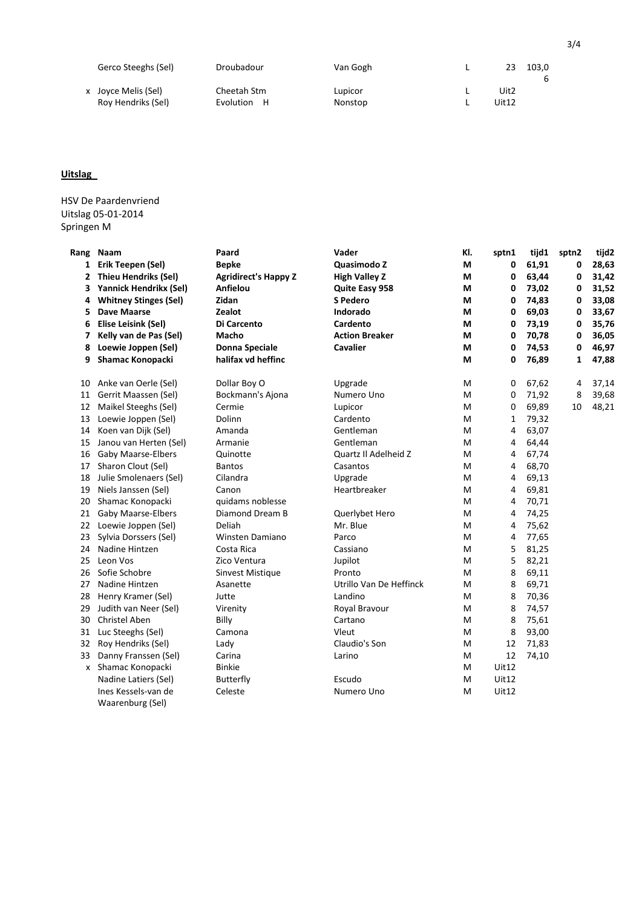|                     | Gerco Steeghs (Sel) | Droubadour                 | Van Gogh           | 23            | 103.0 |
|---------------------|---------------------|----------------------------|--------------------|---------------|-------|
| x Joyce Melis (Sel) | Roy Hendriks (Sel)  | Cheetah Stm<br>Evolution H | Lupicor<br>Nonstop | Uit2<br>Uit12 |       |

HSV De Paardenvriend Uitslag 05-01-2014 Springen M

Waarenburg (Sel)

| Rang | Naam                         | Paard                       | Vader                   | KI. | sptn1        | tijd1 | sptn2 | tijd2 |
|------|------------------------------|-----------------------------|-------------------------|-----|--------------|-------|-------|-------|
| 1    | Erik Teepen (Sel)            | <b>Bepke</b>                | Quasimodo Z             | M   | 0            | 61,91 | 0     | 28,63 |
| 2    | <b>Thieu Hendriks (Sel)</b>  | <b>Agridirect's Happy Z</b> | <b>High Valley Z</b>    | М   | 0            | 63,44 | 0     | 31,42 |
| 3    | Yannick Hendrikx (Sel)       | Anfielou                    | Quite Easy 958          | M   | 0            | 73,02 | 0     | 31,52 |
| 4    | <b>Whitney Stinges (Sel)</b> | Zidan                       | S Pedero                | М   | 0            | 74,83 | 0     | 33,08 |
| 5    | Dave Maarse                  | Zealot                      | Indorado                | М   | 0            | 69,03 | 0     | 33,67 |
| 6    | Elise Leisink (Sel)          | Di Carcento                 | Cardento                | М   | 0            | 73,19 | 0     | 35,76 |
| 7    | Kelly van de Pas (Sel)       | Macho                       | <b>Action Breaker</b>   | М   | 0            | 70,78 | 0     | 36,05 |
| 8    | Loewie Joppen (Sel)          | Donna Speciale              | Cavalier                | М   | 0            | 74,53 | 0     | 46,97 |
| 9    | <b>Shamac Konopacki</b>      | halifax vd heffinc          |                         | M   | 0            | 76,89 | 1     | 47,88 |
| 10   | Anke van Oerle (Sel)         | Dollar Boy O                | Upgrade                 | M   | 0            | 67,62 | 4     | 37,14 |
| 11   | Gerrit Maassen (Sel)         | Bockmann's Ajona            | Numero Uno              | M   | 0            | 71,92 | 8     | 39,68 |
| 12   | Maikel Steeghs (Sel)         | Cermie                      | Lupicor                 | м   | 0            | 69,89 | 10    | 48,21 |
| 13   | Loewie Joppen (Sel)          | Dolinn                      | Cardento                | M   | 1            | 79,32 |       |       |
| 14   | Koen van Dijk (Sel)          | Amanda                      | Gentleman               | M   | 4            | 63,07 |       |       |
| 15   | Janou van Herten (Sel)       | Armanie                     | Gentleman               | м   | 4            | 64,44 |       |       |
| 16   | <b>Gaby Maarse-Elbers</b>    | Quinotte                    | Quartz II Adelheid Z    | M   | 4            | 67,74 |       |       |
| 17   | Sharon Clout (Sel)           | <b>Bantos</b>               | Casantos                | М   | 4            | 68,70 |       |       |
| 18   | Julie Smolenaers (Sel)       | Cilandra                    | Upgrade                 | м   | 4            | 69,13 |       |       |
| 19   | Niels Janssen (Sel)          | Canon                       | Heartbreaker            | M   | 4            | 69,81 |       |       |
| 20   | Shamac Konopacki             | quidams noblesse            |                         | M   | 4            | 70,71 |       |       |
| 21   | <b>Gaby Maarse-Elbers</b>    | Diamond Dream B             | Querlybet Hero          | M   | 4            | 74,25 |       |       |
| 22   | Loewie Joppen (Sel)          | Deliah                      | Mr. Blue                | M   | 4            | 75,62 |       |       |
| 23   | Sylvia Dorssers (Sel)        | Winsten Damiano             | Parco                   | М   | 4            | 77,65 |       |       |
| 24   | Nadine Hintzen               | Costa Rica                  | Cassiano                | M   | 5            | 81,25 |       |       |
| 25   | Leon Vos                     | Zico Ventura                | Jupilot                 | M   | 5            | 82,21 |       |       |
| 26   | Sofie Schobre                | Sinvest Mistique            | Pronto                  | М   | 8            | 69,11 |       |       |
| 27   | Nadine Hintzen               | Asanette                    | Utrillo Van De Heffinck | м   | 8            | 69,71 |       |       |
| 28   | Henry Kramer (Sel)           | Jutte                       | Landino                 | M   | 8            | 70,36 |       |       |
| 29   | Judith van Neer (Sel)        | Virenity                    | Royal Bravour           | M   | 8            | 74,57 |       |       |
| 30   | <b>Christel Aben</b>         | Billy                       | Cartano                 | M   | 8            | 75,61 |       |       |
| 31   | Luc Steeghs (Sel)            | Camona                      | Vleut                   | M   | 8            | 93,00 |       |       |
| 32   | Roy Hendriks (Sel)           | Lady                        | Claudio's Son           | M   | 12           | 71,83 |       |       |
| 33   | Danny Franssen (Sel)         | Carina                      | Larino                  | M   | 12           | 74,10 |       |       |
| x    | Shamac Konopacki             | <b>Binkie</b>               |                         | M   | <b>Uit12</b> |       |       |       |
|      | Nadine Latiers (Sel)         | Butterfly                   | Escudo                  | м   | <b>Uit12</b> |       |       |       |
|      | Ines Kessels-van de          | Celeste                     | Numero Uno              | м   | Uit12        |       |       |       |